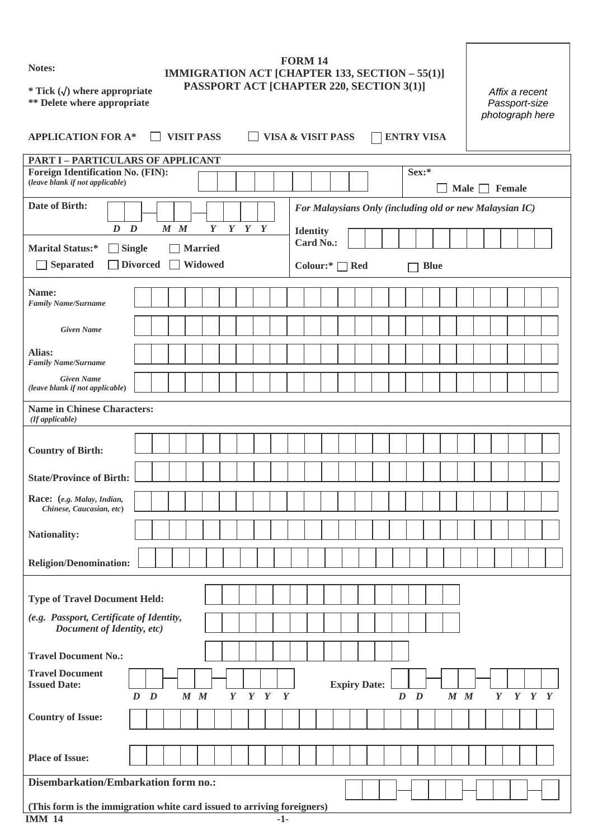**Notes:** 

# **FORM 14 IMMIGRATION ACT [CHAPTER 133, SECTION – 55(1)] PASSPORT ACT [CHAPTER 220, SECTION 3(1)]**

**\* Tick (**√**) where appropriate \*\* Delete where appropriate** 

|      | Affix a recent<br>Passport-size<br>photograph here |
|------|----------------------------------------------------|
| VISA |                                                    |

| <b>APPLICATION FOR A*</b>                                                                                                                        |                                                                  |  |  | <b>VISIT PASS</b> |                                     |                 |  | <b>VISA &amp; VISIT PASS</b> |  |  |  |  |                     |  |         |       | <b>ENTRY VISA</b> |         |             |        |                 |  |
|--------------------------------------------------------------------------------------------------------------------------------------------------|------------------------------------------------------------------|--|--|-------------------|-------------------------------------|-----------------|--|------------------------------|--|--|--|--|---------------------|--|---------|-------|-------------------|---------|-------------|--------|-----------------|--|
| <b>PART I - PARTICULARS OF APPLICANT</b>                                                                                                         |                                                                  |  |  |                   |                                     |                 |  |                              |  |  |  |  |                     |  |         |       |                   |         |             |        |                 |  |
| <b>Foreign Identification No. (FIN):</b><br>(leave blank if not applicable)                                                                      |                                                                  |  |  |                   |                                     |                 |  |                              |  |  |  |  |                     |  |         | Sex:* |                   |         | Male $\Box$ | Female |                 |  |
| Date of Birth:                                                                                                                                   |                                                                  |  |  |                   |                                     |                 |  |                              |  |  |  |  |                     |  |         |       |                   |         |             |        |                 |  |
|                                                                                                                                                  | For Malaysians Only (including old or new Malaysian IC)          |  |  |                   |                                     |                 |  |                              |  |  |  |  |                     |  |         |       |                   |         |             |        |                 |  |
| $Y$ $Y$ $Y$<br>$\boldsymbol{D}$<br>$\boldsymbol{D}$<br>$M$ $M$<br>$\boldsymbol{Y}$<br><b>Marital Status:*</b><br>$\Box$ Single<br><b>Married</b> |                                                                  |  |  |                   | <b>Identity</b><br><b>Card No.:</b> |                 |  |                              |  |  |  |  |                     |  |         |       |                   |         |             |        |                 |  |
| <b>Separated</b><br>l al                                                                                                                         | <b>Divorced</b><br>Widowed<br>Colour:* $\Box$ Red<br><b>Blue</b> |  |  |                   |                                     |                 |  |                              |  |  |  |  |                     |  |         |       |                   |         |             |        |                 |  |
|                                                                                                                                                  |                                                                  |  |  |                   |                                     |                 |  |                              |  |  |  |  |                     |  |         |       |                   |         |             |        |                 |  |
| Name:<br>Family Name/Surname                                                                                                                     |                                                                  |  |  |                   |                                     |                 |  |                              |  |  |  |  |                     |  |         |       |                   |         |             |        |                 |  |
| <b>Given Name</b>                                                                                                                                |                                                                  |  |  |                   |                                     |                 |  |                              |  |  |  |  |                     |  |         |       |                   |         |             |        |                 |  |
| Alias:<br><b>Family Name/Surname</b>                                                                                                             |                                                                  |  |  |                   |                                     |                 |  |                              |  |  |  |  |                     |  |         |       |                   |         |             |        |                 |  |
| <b>Given Name</b><br>(leave blank if not applicable)                                                                                             |                                                                  |  |  |                   |                                     |                 |  |                              |  |  |  |  |                     |  |         |       |                   |         |             |        |                 |  |
| <b>Name in Chinese Characters:</b><br>(If applicable)                                                                                            |                                                                  |  |  |                   |                                     |                 |  |                              |  |  |  |  |                     |  |         |       |                   |         |             |        |                 |  |
|                                                                                                                                                  |                                                                  |  |  |                   |                                     |                 |  |                              |  |  |  |  |                     |  |         |       |                   |         |             |        |                 |  |
| <b>Country of Birth:</b>                                                                                                                         |                                                                  |  |  |                   |                                     |                 |  |                              |  |  |  |  |                     |  |         |       |                   |         |             |        |                 |  |
| <b>State/Province of Birth:</b>                                                                                                                  |                                                                  |  |  |                   |                                     |                 |  |                              |  |  |  |  |                     |  |         |       |                   |         |             |        |                 |  |
| Race: (e.g. Malay, Indian,<br>Chinese, Caucasian, etc)                                                                                           |                                                                  |  |  |                   |                                     |                 |  |                              |  |  |  |  |                     |  |         |       |                   |         |             |        |                 |  |
| <b>Nationality:</b>                                                                                                                              |                                                                  |  |  |                   |                                     |                 |  |                              |  |  |  |  |                     |  |         |       |                   |         |             |        |                 |  |
| <b>Religion/Denomination:</b>                                                                                                                    |                                                                  |  |  |                   |                                     |                 |  |                              |  |  |  |  |                     |  |         |       |                   |         |             |        |                 |  |
| <b>Type of Travel Document Held:</b>                                                                                                             |                                                                  |  |  |                   |                                     |                 |  |                              |  |  |  |  |                     |  |         |       |                   |         |             |        |                 |  |
| (e.g. Passport, Certificate of Identity,                                                                                                         |                                                                  |  |  |                   |                                     |                 |  |                              |  |  |  |  |                     |  |         |       |                   |         |             |        |                 |  |
| Document of Identity, etc)                                                                                                                       |                                                                  |  |  |                   |                                     |                 |  |                              |  |  |  |  |                     |  |         |       |                   |         |             |        |                 |  |
| <b>Travel Document No.:</b>                                                                                                                      |                                                                  |  |  |                   |                                     |                 |  |                              |  |  |  |  |                     |  |         |       |                   |         |             |        |                 |  |
| <b>Travel Document</b><br><b>Issued Date:</b>                                                                                                    |                                                                  |  |  |                   |                                     |                 |  |                              |  |  |  |  | <b>Expiry Date:</b> |  |         |       |                   |         |             |        |                 |  |
| <b>Country of Issue:</b>                                                                                                                         | $D \quad D$                                                      |  |  | $M$ $M$           |                                     | $Y$ $Y$ $Y$ $Y$ |  |                              |  |  |  |  |                     |  | $D$ $D$ |       |                   | $M$ $M$ |             |        | $Y$ $Y$ $Y$ $Y$ |  |
| <b>Place of Issue:</b>                                                                                                                           |                                                                  |  |  |                   |                                     |                 |  |                              |  |  |  |  |                     |  |         |       |                   |         |             |        |                 |  |
| Disembarkation/Embarkation form no.:                                                                                                             |                                                                  |  |  |                   |                                     |                 |  |                              |  |  |  |  |                     |  |         |       |                   |         |             |        |                 |  |

### **(This form is the immigration white card issued to arriving foreigners) IMM 14**  $-1$ -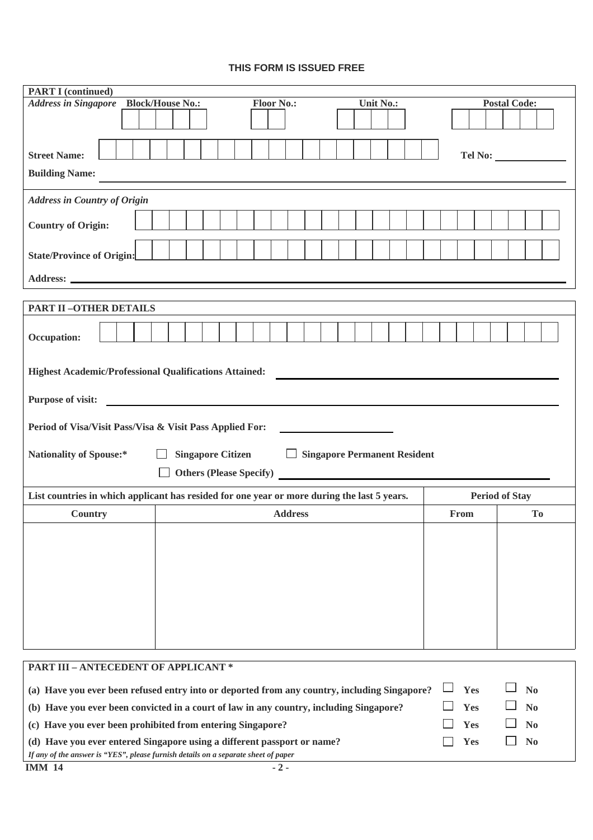## **THIS FORM IS ISSUED FREE**

| <b>PART I</b> (continued)                                                                                                                                                              |                                                              |  |  |  |  |  |  |  |
|----------------------------------------------------------------------------------------------------------------------------------------------------------------------------------------|--------------------------------------------------------------|--|--|--|--|--|--|--|
| <b>Address in Singapore</b><br><b>Block/House No.:</b>                                                                                                                                 | <b>Floor No.:</b><br><b>Postal Code:</b><br><b>Unit No.:</b> |  |  |  |  |  |  |  |
|                                                                                                                                                                                        |                                                              |  |  |  |  |  |  |  |
|                                                                                                                                                                                        |                                                              |  |  |  |  |  |  |  |
| <b>Street Name:</b>                                                                                                                                                                    | Tel No:                                                      |  |  |  |  |  |  |  |
| <b>Building Name:</b>                                                                                                                                                                  |                                                              |  |  |  |  |  |  |  |
| <b>Address in Country of Origin</b>                                                                                                                                                    |                                                              |  |  |  |  |  |  |  |
| <b>Country of Origin:</b>                                                                                                                                                              |                                                              |  |  |  |  |  |  |  |
|                                                                                                                                                                                        |                                                              |  |  |  |  |  |  |  |
| <b>State/Province of Origin:</b>                                                                                                                                                       |                                                              |  |  |  |  |  |  |  |
|                                                                                                                                                                                        |                                                              |  |  |  |  |  |  |  |
|                                                                                                                                                                                        |                                                              |  |  |  |  |  |  |  |
| <b>PART II-OTHER DETAILS</b>                                                                                                                                                           |                                                              |  |  |  |  |  |  |  |
| Occupation:                                                                                                                                                                            |                                                              |  |  |  |  |  |  |  |
|                                                                                                                                                                                        |                                                              |  |  |  |  |  |  |  |
| <b>Highest Academic/Professional Qualifications Attained:</b>                                                                                                                          |                                                              |  |  |  |  |  |  |  |
| <b>Purpose of visit:</b>                                                                                                                                                               |                                                              |  |  |  |  |  |  |  |
| Period of Visa/Visit Pass/Visa & Visit Pass Applied For:                                                                                                                               |                                                              |  |  |  |  |  |  |  |
|                                                                                                                                                                                        |                                                              |  |  |  |  |  |  |  |
| <b>Singapore Citizen</b><br><b>Nationality of Spouse:*</b><br>Singapore Permanent Resident                                                                                             |                                                              |  |  |  |  |  |  |  |
| <b>Others (Please Specify)</b>                                                                                                                                                         |                                                              |  |  |  |  |  |  |  |
| List countries in which applicant has resided for one year or more during the last 5 years.                                                                                            | <b>Period of Stay</b>                                        |  |  |  |  |  |  |  |
| Country<br><b>Address</b><br>From<br>T <sub>0</sub>                                                                                                                                    |                                                              |  |  |  |  |  |  |  |
|                                                                                                                                                                                        |                                                              |  |  |  |  |  |  |  |
|                                                                                                                                                                                        |                                                              |  |  |  |  |  |  |  |
|                                                                                                                                                                                        |                                                              |  |  |  |  |  |  |  |
|                                                                                                                                                                                        |                                                              |  |  |  |  |  |  |  |
|                                                                                                                                                                                        |                                                              |  |  |  |  |  |  |  |
|                                                                                                                                                                                        |                                                              |  |  |  |  |  |  |  |
|                                                                                                                                                                                        |                                                              |  |  |  |  |  |  |  |
| <b>PART III - ANTECEDENT OF APPLICANT *</b>                                                                                                                                            |                                                              |  |  |  |  |  |  |  |
| Yes<br>N <sub>0</sub><br>(a) Have you ever been refused entry into or deported from any country, including Singapore?                                                                  |                                                              |  |  |  |  |  |  |  |
| (b) Have you ever been convicted in a court of law in any country, including Singapore?<br>Yes<br>N <sub>0</sub>                                                                       |                                                              |  |  |  |  |  |  |  |
| Yes<br>N <sub>0</sub><br>(c) Have you ever been prohibited from entering Singapore?                                                                                                    |                                                              |  |  |  |  |  |  |  |
| N <sub>0</sub><br>Yes<br>(d) Have you ever entered Singapore using a different passport or name?<br>If any of the answer is "YES", please furnish details on a separate sheet of paper |                                                              |  |  |  |  |  |  |  |